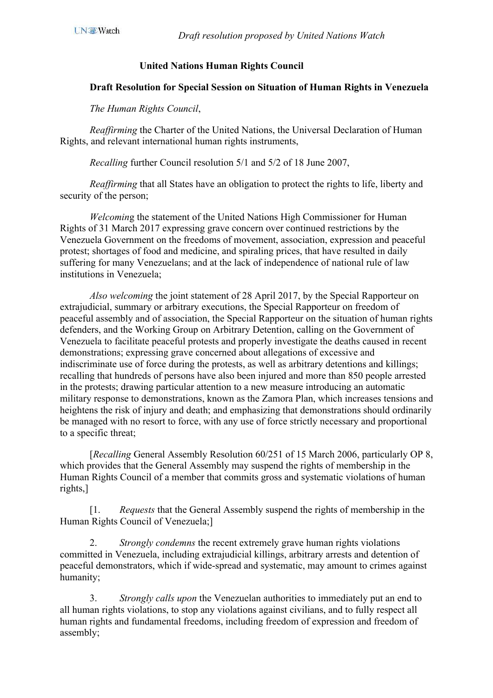## **United Nations Human Rights Council**

## **Draft Resolution for Special Session on Situation of Human Rights in Venezuela**

*The Human Rights Council*,

 *Reaffirming* the Charter of the United Nations, the Universal Declaration of Human Rights, and relevant international human rights instruments,

*Recalling* further Council resolution 5/1 and 5/2 of 18 June 2007,

*Reaffirming* that all States have an obligation to protect the rights to life, liberty and security of the person;

*Welcomin*g the statement of the United Nations High Commissioner for Human Rights of 31 March 2017 expressing grave concern over continued restrictions by the Venezuela Government on the freedoms of movement, association, expression and peaceful protest; shortages of food and medicine, and spiraling prices, that have resulted in daily suffering for many Venezuelans; and at the lack of independence of national rule of law institutions in Venezuela;

*Also welcoming* the joint statement of 28 April 2017, by the Special Rapporteur on extrajudicial, summary or arbitrary executions, the Special Rapporteur on freedom of peaceful assembly and of association, the Special Rapporteur on the situation of human rights defenders, and the Working Group on Arbitrary Detention, calling on the Government of Venezuela to facilitate peaceful protests and properly investigate the deaths caused in recent demonstrations; expressing grave concerned about allegations of excessive and indiscriminate use of force during the protests, as well as arbitrary detentions and killings; recalling that hundreds of persons have also been injured and more than 850 people arrested in the protests; drawing particular attention to a new measure introducing an automatic military response to demonstrations, known as the Zamora Plan, which increases tensions and heightens the risk of injury and death; and emphasizing that demonstrations should ordinarily be managed with no resort to force, with any use of force strictly necessary and proportional to a specific threat;

 [*Recalling* General Assembly Resolution 60/251 of 15 March 2006, particularly OP 8, which provides that the General Assembly may suspend the rights of membership in the Human Rights Council of a member that commits gross and systematic violations of human rights,]

 [1. *Requests* that the General Assembly suspend the rights of membership in the Human Rights Council of Venezuela;]

 2. *Strongly condemns* the recent extremely grave human rights violations committed in Venezuela, including extrajudicial killings, arbitrary arrests and detention of peaceful demonstrators, which if wide-spread and systematic, may amount to crimes against humanity;

 3. *Strongly calls upon* the Venezuelan authorities to immediately put an end to all human rights violations, to stop any violations against civilians, and to fully respect all human rights and fundamental freedoms, including freedom of expression and freedom of assembly;